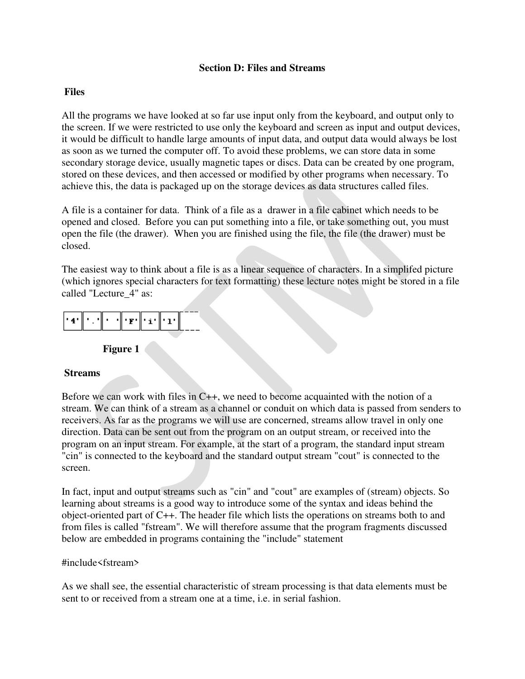#### **Section D: Files and Streams**

### **Files**

All the programs we have looked at so far use input only from the keyboard, and output only to the screen. If we were restricted to use only the keyboard and screen as input and output devices, it would be difficult to handle large amounts of input data, and output data would always be lost as soon as we turned the computer off. To avoid these problems, we can store data in some secondary storage device, usually magnetic tapes or discs. Data can be created by one program, stored on these devices, and then accessed or modified by other programs when necessary. To achieve this, the data is packaged up on the storage devices as data structures called files.

A file is a container for data. Think of a file as a drawer in a file cabinet which needs to be opened and closed. Before you can put something into a file, or take something out, you must open the file (the drawer). When you are finished using the file, the file (the drawer) must be closed.

The easiest way to think about a file is as a linear sequence of characters. In a simplifed picture (which ignores special characters for text formatting) these lecture notes might be stored in a file called "Lecture\_4" as:

| l "4" |  | יזיוי |  | `∥'i'∥'ı' |  |
|-------|--|-------|--|-----------|--|
|-------|--|-------|--|-----------|--|

### **Figure 1**

### **Streams**

Before we can work with files in C++, we need to become acquainted with the notion of a stream. We can think of a stream as a channel or conduit on which data is passed from senders to receivers. As far as the programs we will use are concerned, streams allow travel in only one direction. Data can be sent out from the program on an output stream, or received into the program on an input stream. For example, at the start of a program, the standard input stream "cin" is connected to the keyboard and the standard output stream "cout" is connected to the screen.

In fact, input and output streams such as "cin" and "cout" are examples of (stream) objects. So learning about streams is a good way to introduce some of the syntax and ideas behind the object-oriented part of C++. The header file which lists the operations on streams both to and from files is called "fstream". We will therefore assume that the program fragments discussed below are embedded in programs containing the "include" statement

### #include<fstream>

As we shall see, the essential characteristic of stream processing is that data elements must be sent to or received from a stream one at a time, i.e. in serial fashion.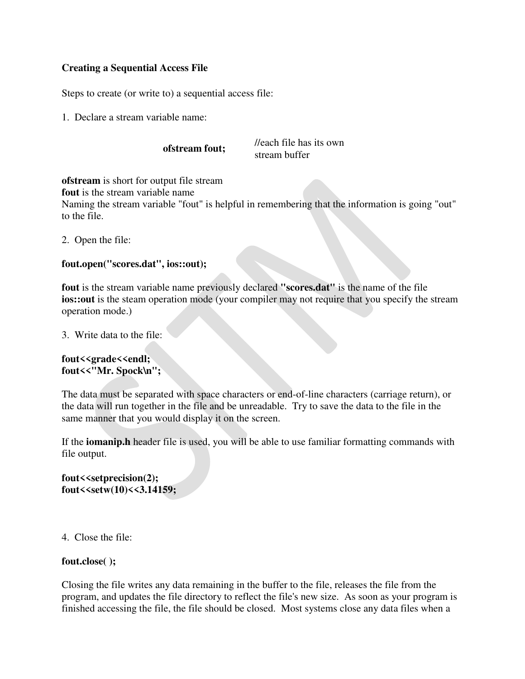## **Creating a Sequential Access File**

Steps to create (or write to) a sequential access file:

1. Declare a stream variable name:

**ofstream fout;** //each file has its own stream buffer

**ofstream** is short for output file stream

**fout** is the stream variable name

Naming the stream variable "fout" is helpful in remembering that the information is going "out" to the file.

2. Open the file:

## **fout.open("scores.dat", ios::out);**

**fout** is the stream variable name previously declared **"scores.dat"** is the name of the file **ios::out** is the steam operation mode (your compiler may not require that you specify the stream operation mode.)

3. Write data to the file:

## **fout<<grade<<endl; fout<<"Mr. Spock\n";**

The data must be separated with space characters or end-of-line characters (carriage return), or the data will run together in the file and be unreadable. Try to save the data to the file in the same manner that you would display it on the screen.

If the **iomanip.h** header file is used, you will be able to use familiar formatting commands with file output.

### **fout<<setprecision(2); fout<<setw(10)<<3.14159;**

4. Close the file:

## **fout.close( );**

Closing the file writes any data remaining in the buffer to the file, releases the file from the program, and updates the file directory to reflect the file's new size. As soon as your program is finished accessing the file, the file should be closed. Most systems close any data files when a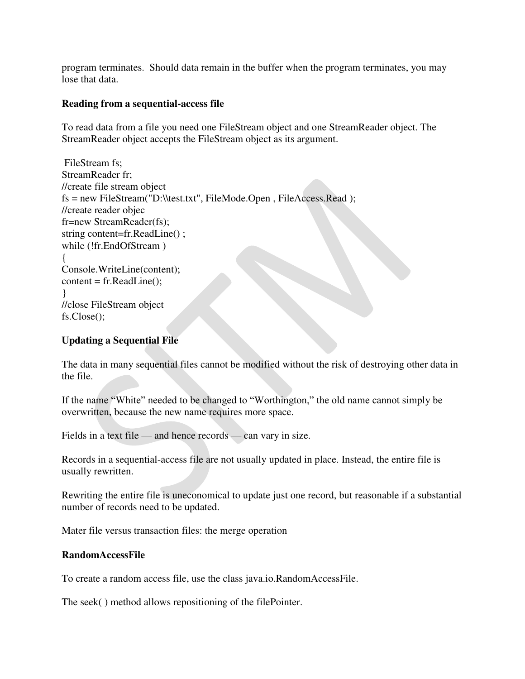program terminates. Should data remain in the buffer when the program terminates, you may lose that data.

### **Reading from a sequential-access file**

To read data from a file you need one FileStream object and one StreamReader object. The StreamReader object accepts the FileStream object as its argument.

 FileStream fs; StreamReader fr; //create file stream object fs = new FileStream("D:\\test.txt", FileMode.Open , FileAccess.Read ); //create reader objec fr=new StreamReader(fs); string content=fr.ReadLine() ; while (!fr.EndOfStream ) { Console.WriteLine(content);  $content = fr.ReadLine$ ); } //close FileStream object fs.Close();

## **Updating a Sequential File**

The data in many sequential files cannot be modified without the risk of destroying other data in the file.

If the name "White" needed to be changed to "Worthington," the old name cannot simply be overwritten, because the new name requires more space.

Fields in a text file — and hence records — can vary in size.

Records in a sequential-access file are not usually updated in place. Instead, the entire file is usually rewritten.

Rewriting the entire file is uneconomical to update just one record, but reasonable if a substantial number of records need to be updated.

Mater file versus transaction files: the merge operation

### **RandomAccessFile**

To create a random access file, use the class java.io.RandomAccessFile.

The seek( ) method allows repositioning of the filePointer.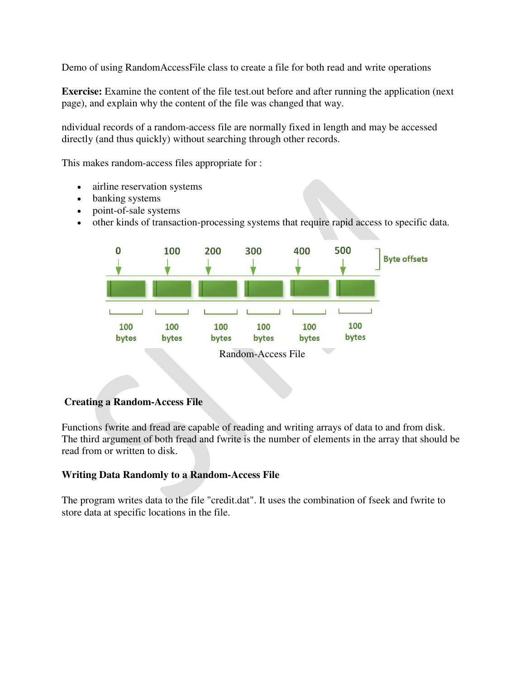Demo of using RandomAccessFile class to create a file for both read and write operations

**Exercise:** Examine the content of the file test.out before and after running the application (next) page), and explain why the content of the file was changed that way.

ndividual records of a random-access file are normally fixed in length and may be accessed directly (and thus quickly) without searching through other records.

This makes random-access files appropriate for :

- airline reservation systems
- banking systems
- point-of-sale systems
- other kinds of transaction-processing systems that require rapid access to specific data.



### **Creating a Random-Access File**

Functions fwrite and fread are capable of reading and writing arrays of data to and from disk. The third argument of both fread and fwrite is the number of elements in the array that should be read from or written to disk.

### **Writing Data Randomly to a Random-Access File**

The program writes data to the file "credit.dat". It uses the combination of fseek and fwrite to store data at specific locations in the file.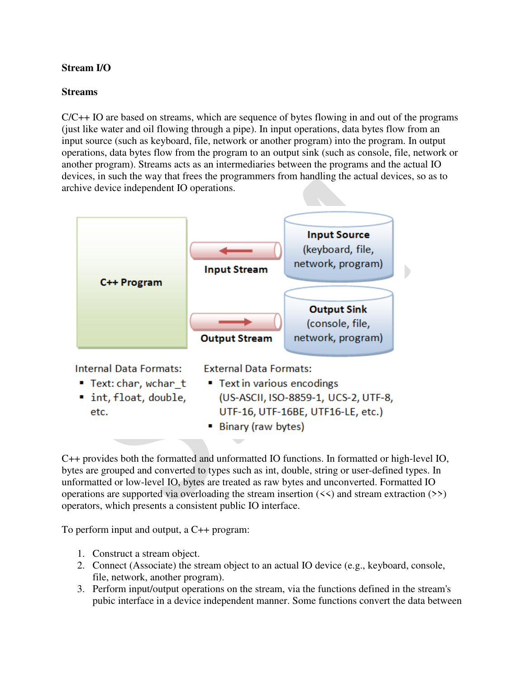# **Stream I/O**

## **Streams**

 $C/C++$  IO are based on streams, which are sequence of bytes flowing in and out of the programs (just like water and oil flowing through a pipe). In input operations, data bytes flow from an input source (such as keyboard, file, network or another program) into the program. In output operations, data bytes flow from the program to an output sink (such as console, file, network or another program). Streams acts as an intermediaries between the programs and the actual IO devices, in such the way that frees the programmers from handling the actual devices, so as to archive device independent IO operations.



C++ provides both the formatted and unformatted IO functions. In formatted or high-level IO, bytes are grouped and converted to types such as int, double, string or user-defined types. In unformatted or low-level IO, bytes are treated as raw bytes and unconverted. Formatted IO operations are supported via overloading the stream insertion  $(\le)$  and stream extraction  $(\ge)$ operators, which presents a consistent public IO interface.

To perform input and output, a C++ program:

- 1. Construct a stream object.
- 2. Connect (Associate) the stream object to an actual IO device (e.g., keyboard, console, file, network, another program).
- 3. Perform input/output operations on the stream, via the functions defined in the stream's pubic interface in a device independent manner. Some functions convert the data between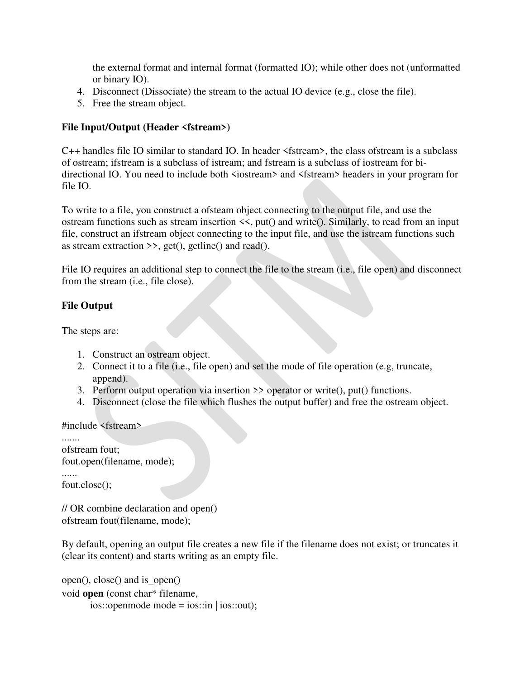the external format and internal format (formatted IO); while other does not (unformatted or binary IO).

- 4. Disconnect (Dissociate) the stream to the actual IO device (e.g., close the file).
- 5. Free the stream object.

## **File Input/Output (Header <fstream>)**

C++ handles file IO similar to standard IO. In header <fstream>, the class ofstream is a subclass of ostream; ifstream is a subclass of istream; and fstream is a subclass of iostream for bidirectional IO. You need to include both  $\leq$  iostream> and  $\leq$ fstream> headers in your program for file IO.

To write to a file, you construct a ofsteam object connecting to the output file, and use the ostream functions such as stream insertion <<, put() and write(). Similarly, to read from an input file, construct an ifstream object connecting to the input file, and use the istream functions such as stream extraction  $\gg$ , get(), getline() and read().

File IO requires an additional step to connect the file to the stream (i.e., file open) and disconnect from the stream (i.e., file close).

### **File Output**

The steps are:

- 1. Construct an ostream object.
- 2. Connect it to a file (i.e., file open) and set the mode of file operation (e.g, truncate, append).
- 3. Perform output operation via insertion >> operator or write(), put() functions.
- 4. Disconnect (close the file which flushes the output buffer) and free the ostream object.

#include <fstream>

```
....... 
ofstream fout; 
fout.open(filename, mode); 
...... 
fout.close();
```
// OR combine declaration and open() ofstream fout(filename, mode);

By default, opening an output file creates a new file if the filename does not exist; or truncates it (clear its content) and starts writing as an empty file.

```
open(), close() and is_open() 
void open (const char* filename, 
        ios::openmode mode = ios::in | ios::out);
```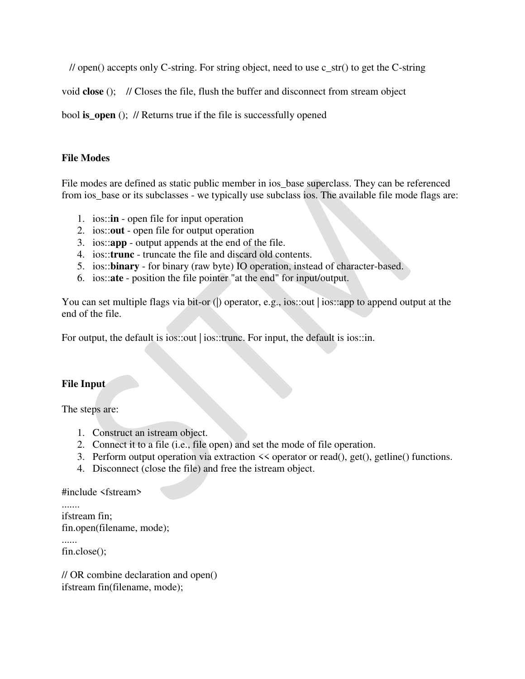$\ell$  open() accepts only C-string. For string object, need to use c\_str() to get the C-string

void **close** (); // Closes the file, flush the buffer and disconnect from stream object

bool **is** open (); // Returns true if the file is successfully opened

### **File Modes**

File modes are defined as static public member in ios\_base superclass. They can be referenced from ios\_base or its subclasses - we typically use subclass ios. The available file mode flags are:

- 1. ios::**in** open file for input operation
- 2. ios::**out** open file for output operation
- 3. ios::**app** output appends at the end of the file.
- 4. ios::**trunc** truncate the file and discard old contents.
- 5. ios::**binary** for binary (raw byte) IO operation, instead of character-based.
- 6. ios::**ate** position the file pointer "at the end" for input/output.

You can set multiple flags via bit-or () operator, e.g., ios::out | ios::app to append output at the end of the file.

For output, the default is ios::out | ios::trunc. For input, the default is ios::in.

### **File Input**

The steps are:

- 1. Construct an istream object.
- 2. Connect it to a file (i.e., file open) and set the mode of file operation.
- 3. Perform output operation via extraction << operator or read(), get(), getline() functions.
- 4. Disconnect (close the file) and free the istream object.

#include <fstream>

```
....... 
ifstream fin; 
fin.open(filename, mode); 
...... 
fin.close();
```
// OR combine declaration and open() ifstream fin(filename, mode);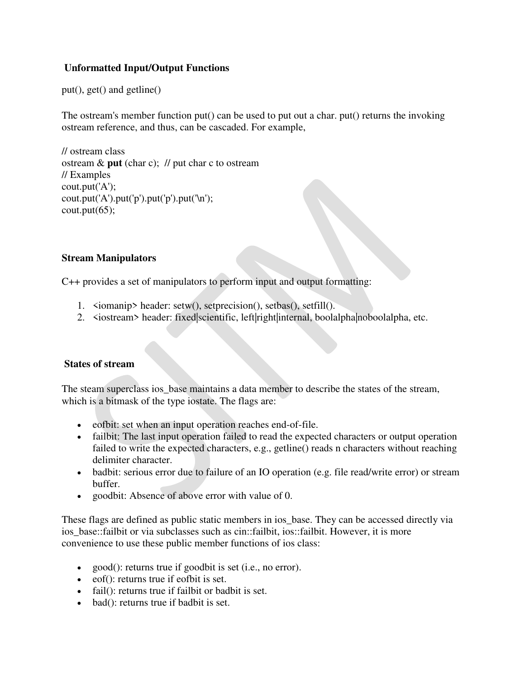# **Unformatted Input/Output Functions**

put(), get() and getline()

The ostream's member function put() can be used to put out a char. put() returns the invoking ostream reference, and thus, can be cascaded. For example,

// ostream class ostream & **put** (char c); // put char c to ostream // Examples cout.put('A'); cout.put('A').put('p').put('p').put('\n');  $\text{cout}.\text{put}(65);$ 

## **Stream Manipulators**

C++ provides a set of manipulators to perform input and output formatting:

- 1. <iomanip> header: setw(), setprecision(), setbas(), setfill().
- 2. <iostream> header: fixed|scientific, left|right|internal, boolalpha|noboolalpha, etc.

## **States of stream**

The steam superclass ios base maintains a data member to describe the states of the stream, which is a bitmask of the type iostate. The flags are:

- eofbit: set when an input operation reaches end-of-file.
- failbit: The last input operation failed to read the expected characters or output operation failed to write the expected characters, e.g., getline() reads n characters without reaching delimiter character.
- badbit: serious error due to failure of an IO operation (e.g. file read/write error) or stream buffer.
- goodbit: Absence of above error with value of 0.

These flags are defined as public static members in ios\_base. They can be accessed directly via ios\_base::failbit or via subclasses such as cin::failbit, ios::failbit. However, it is more convenience to use these public member functions of ios class:

- good(): returns true if goodbit is set (i.e., no error).
- eof(): returns true if eofbit is set.
- fail(): returns true if failbit or badbit is set.
- bad(): returns true if badbit is set.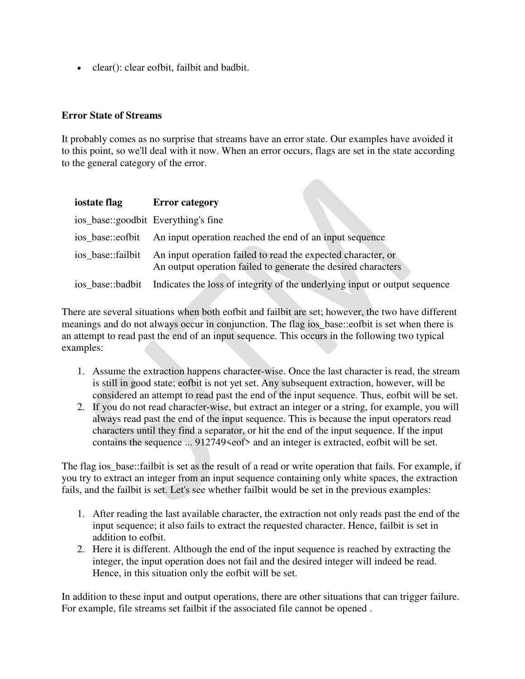clear(): clear eofbit, failbit and badbit.

### **Error State of Streams**

It probably comes as no surprise that streams have an error state. Our examples have avoided it to this point, so we'll deal with it now. When an error occurs, flags are set in the state according to the general category of the error.

| iostate flag                        | <b>Error category</b>                                                                                                         |
|-------------------------------------|-------------------------------------------------------------------------------------------------------------------------------|
| ios_base::goodbit Everything's fine |                                                                                                                               |
| ios base::eofbit                    | An input operation reached the end of an input sequence                                                                       |
| ios base::failbit                   | An input operation failed to read the expected character, or<br>An output operation failed to generate the desired characters |
|                                     | ios_base::badbit Indicates the loss of integrity of the underlying input or output sequence                                   |

There are several situations when both eofbit and failbit are set; however, the two have different meanings and do not always occur in conjunction. The flag ios\_base::eofbit is set when there is an attempt to read past the end of an input sequence. This occurs in the following two typical examples:

- 1. Assume the extraction happens character-wise. Once the last character is read, the stream is still in good state; eofbit is not yet set. Any subsequent extraction, however, will be considered an attempt to read past the end of the input sequence. Thus, eofbit will be set.
- 2. If you do not read character-wise, but extract an integer or a string, for example, you will always read past the end of the input sequence. This is because the input operators read characters until they find a separator, or hit the end of the input sequence. If the input contains the sequence ... 912749<eof> and an integer is extracted, eofbit will be set.

The flag ios\_base::failbit is set as the result of a read or write operation that fails. For example, if you try to extract an integer from an input sequence containing only white spaces, the extraction fails, and the failbit is set. Let's see whether failbit would be set in the previous examples:

- 1. After reading the last available character, the extraction not only reads past the end of the input sequence; it also fails to extract the requested character. Hence, failbit is set in addition to eofbit.
- 2. Here it is different. Although the end of the input sequence is reached by extracting the integer, the input operation does not fail and the desired integer will indeed be read. Hence, in this situation only the eofbit will be set.

In addition to these input and output operations, there are other situations that can trigger failure. For example, file streams set failbit if the associated file cannot be opened .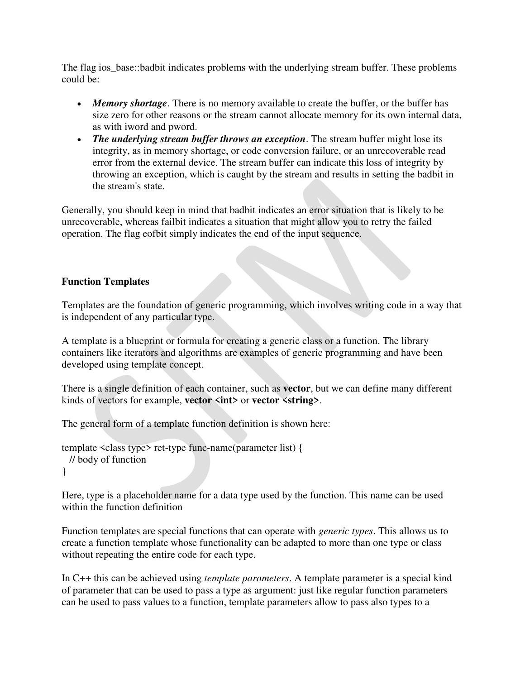The flag ios base::badbit indicates problems with the underlying stream buffer. These problems could be:

- *Memory shortage*. There is no memory available to create the buffer, or the buffer has size zero for other reasons or the stream cannot allocate memory for its own internal data, as with iword and pword.
- *The underlying stream buffer throws an exception*. The stream buffer might lose its integrity, as in memory shortage, or code conversion failure, or an unrecoverable read error from the external device. The stream buffer can indicate this loss of integrity by throwing an exception, which is caught by the stream and results in setting the badbit in the stream's state.

Generally, you should keep in mind that badbit indicates an error situation that is likely to be unrecoverable, whereas failbit indicates a situation that might allow you to retry the failed operation. The flag eofbit simply indicates the end of the input sequence.

### **Function Templates**

Templates are the foundation of generic programming, which involves writing code in a way that is independent of any particular type.

A template is a blueprint or formula for creating a generic class or a function. The library containers like iterators and algorithms are examples of generic programming and have been developed using template concept.

There is a single definition of each container, such as **vector**, but we can define many different kinds of vectors for example, **vector <int>** or **vector <string>**.

The general form of a template function definition is shown here:

```
template <class type> ret-type func-name(parameter list) { 
  // body of function 
}
```
Here, type is a placeholder name for a data type used by the function. This name can be used within the function definition

Function templates are special functions that can operate with *generic types*. This allows us to create a function template whose functionality can be adapted to more than one type or class without repeating the entire code for each type.

In C++ this can be achieved using *template parameters*. A template parameter is a special kind of parameter that can be used to pass a type as argument: just like regular function parameters can be used to pass values to a function, template parameters allow to pass also types to a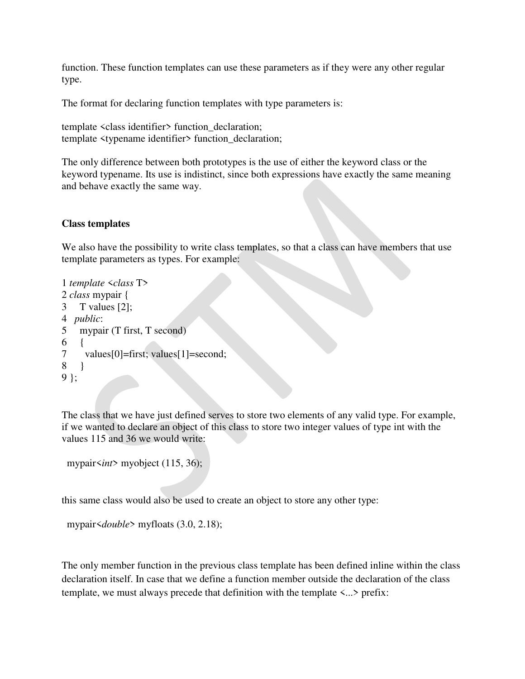function. These function templates can use these parameters as if they were any other regular type.

The format for declaring function templates with type parameters is:

```
template <class identifier> function_declaration; 
template <typename identifier> function_declaration;
```
The only difference between both prototypes is the use of either the keyword class or the keyword typename. Its use is indistinct, since both expressions have exactly the same meaning and behave exactly the same way.

### **Class templates**

We also have the possibility to write class templates, so that a class can have members that use template parameters as types. For example:

```
1 
template <class T>
2 
class mypair { 
3 
4 
 public: 
5 
6 
7 
8 
9 
}; 
     T values [2]; 
      mypair (T first, T second) 
    \left\{ \right. values[0]=first; values[1]=second; 
      }
```
The class that we have just defined serves to store two elements of any valid type. For example, if we wanted to declare an object of this class to store two integer values of type int with the values 115 and 36 we would write:

```
 mypair<int> myobject (115, 36);
```
this same class would also be used to create an object to store any other type:

```
 mypair<double> myfloats (3.0, 2.18);
```
The only member function in the previous class template has been defined inline within the class declaration itself. In case that we define a function member outside the declaration of the class template, we must always precede that definition with the template <...> prefix: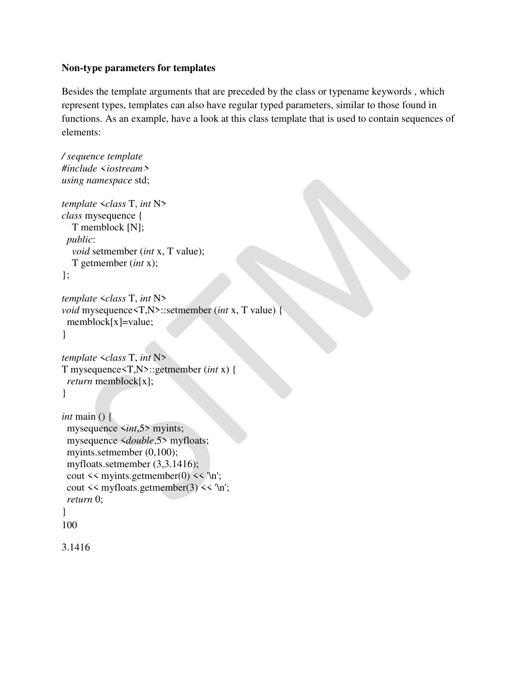### **Non-type parameters for templates**

Besides the template arguments that are preceded by the class or typename keywords , which represent types, templates can also have regular typed parameters, similar to those found in functions. As an example, have a look at this class template that is used to contain sequences of elements:

```
/ sequence template
#include <iostream>
using namespace std; 
template <class T, int N>
class mysequence { 
   T memblock [N]; 
  public: 
   void setmember (int x, T value); 
   T getmember (int x); 
}; 
template <class T, int N>
void mysequence<T,N>::setmember (int x, T value) { 
  memblock[x]=value; 
} 
template <class T, int N>
T mysequence<T,N>::getmember (int x) { 
  return memblock[x]; 
} 
int main () { 
  mysequence <int,5> myints; 
  mysequence <double,5> myfloats; 
  myints.setmember (0,100); 
  myfloats.setmember (3,3.1416); 
 cout \leq myints.getmember(0) \leq \n';
 cout \leq myfloats.getmember(3) \leq '\n';
  return 0; 
} 
100 
3.1416
```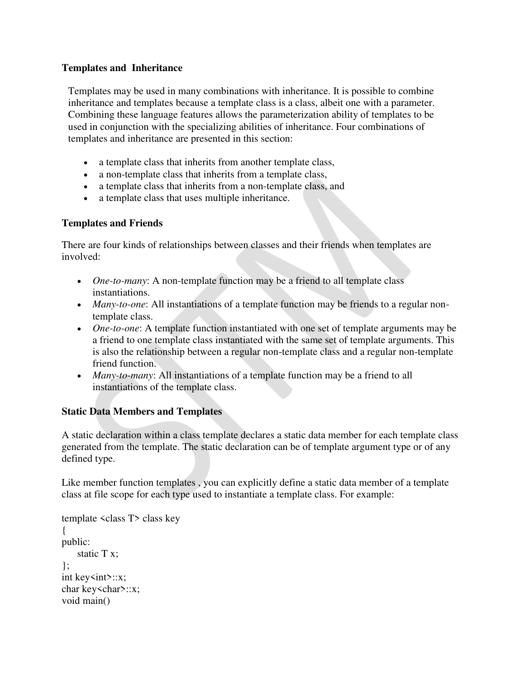## **Templates and Inheritance**

Templates may be used in many combinations with inheritance. It is possible to combine inheritance and templates because a template class is a class, albeit one with a parameter. Combining these language features allows the parameterization ability of templates to be used in conjunction with the specializing abilities of inheritance. Four combinations of templates and inheritance are presented in this section:

- a template class that inherits from another template class,
- a non-template class that inherits from a template class,
- a template class that inherits from a non-template class, and
- a template class that uses multiple inheritance.

### **Templates and Friends**

There are four kinds of relationships between classes and their friends when templates are involved:

- *One-to-many*: A non-template function may be a friend to all template class instantiations.
- *Many-to-one*: All instantiations of a template function may be friends to a regular nontemplate class.
- *One-to-one*: A template function instantiated with one set of template arguments may be a friend to one template class instantiated with the same set of template arguments. This is also the relationship between a regular non-template class and a regular non-template friend function.
- *Many-to-many*: All instantiations of a template function may be a friend to all instantiations of the template class.

## **Static Data Members and Templates**

A static declaration within a class template declares a static data member for each template class generated from the template. The static declaration can be of template argument type or of any defined type.

Like member function templates , you can explicitly define a static data member of a template class at file scope for each type used to instantiate a template class. For example:

```
template <class T> class key 
{ 
public: 
     static T x; 
\};
int key\langle int \rangle::x;
char key<char>::x;
void main()
```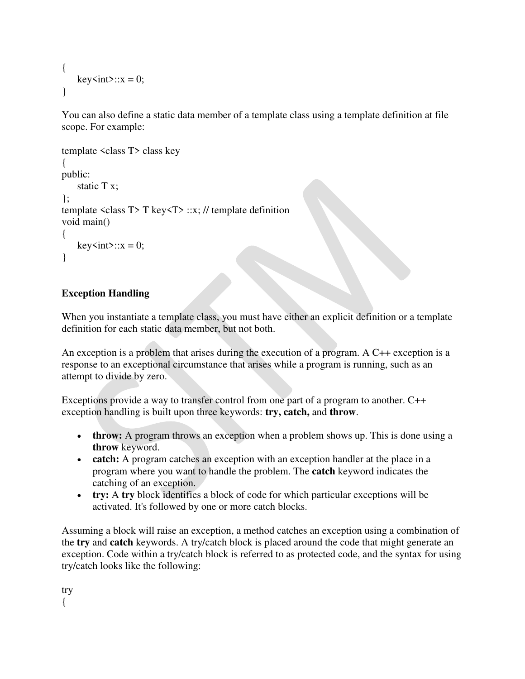```
{ 
     key\textless int&gt::x = 0;}
```
You can also define a static data member of a template class using a template definition at file scope. For example:

```
template <class T> class key 
{ 
public: 
       static T x; 
\mathcal{E}:
template \langle \text{class } T \rangle T \text{key} \langle T \rangle :: x; \mathit{//} template definition
void main() 
{ 
      key\textless int&gt::x = 0;}
```
# **Exception Handling**

When you instantiate a template class, you must have either an explicit definition or a template definition for each static data member, but not both.

An exception is a problem that arises during the execution of a program. A C++ exception is a response to an exceptional circumstance that arises while a program is running, such as an attempt to divide by zero.

Exceptions provide a way to transfer control from one part of a program to another. C++ exception handling is built upon three keywords: **try, catch,** and **throw**.

- **throw:** A program throws an exception when a problem shows up. This is done using a **throw** keyword.
- **catch:** A program catches an exception with an exception handler at the place in a program where you want to handle the problem. The **catch** keyword indicates the catching of an exception.
- **try:** A **try** block identifies a block of code for which particular exceptions will be activated. It's followed by one or more catch blocks.

Assuming a block will raise an exception, a method catches an exception using a combination of the **try** and **catch** keywords. A try/catch block is placed around the code that might generate an exception. Code within a try/catch block is referred to as protected code, and the syntax for using try/catch looks like the following:

try {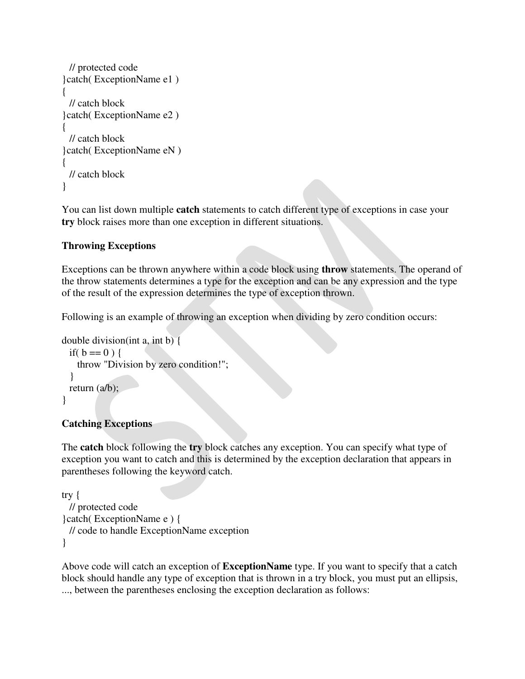```
 // protected code 
}catch( ExceptionName e1 ) 
{ 
  // catch block 
}catch( ExceptionName e2 ) 
{ 
  // catch block 
}catch( ExceptionName eN ) 
{ 
  // catch block 
}
```
You can list down multiple **catch** statements to catch different type of exceptions in case your **try** block raises more than one exception in different situations.

## **Throwing Exceptions**

Exceptions can be thrown anywhere within a code block using **throw** statements. The operand of the throw statements determines a type for the exception and can be any expression and the type of the result of the expression determines the type of exception thrown.

Following is an example of throwing an exception when dividing by zero condition occurs:

```
double division(int a, int b) { 
 if( b == 0 ) {
     throw "Division by zero condition!"; 
   } 
  return (a/b);
}
```
## **Catching Exceptions**

The **catch** block following the **try** block catches any exception. You can specify what type of exception you want to catch and this is determined by the exception declaration that appears in parentheses following the keyword catch.

```
try { 
  // protected code 
}catch( ExceptionName e ) { 
  // code to handle ExceptionName exception 
}
```
Above code will catch an exception of **ExceptionName** type. If you want to specify that a catch block should handle any type of exception that is thrown in a try block, you must put an ellipsis, ..., between the parentheses enclosing the exception declaration as follows: